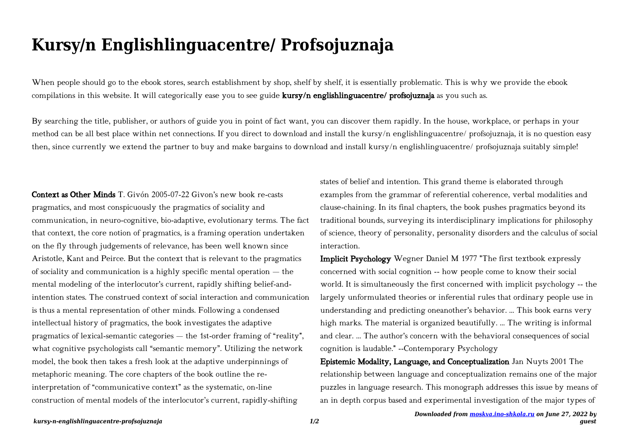## **Kursy/n Englishlinguacentre/ Profsojuznaja**

When people should go to the ebook stores, search establishment by shop, shelf by shelf, it is essentially problematic. This is why we provide the ebook compilations in this website. It will categorically ease you to see guide kursy/n englishlinguacentre/ profsojuznaja as you such as.

By searching the title, publisher, or authors of guide you in point of fact want, you can discover them rapidly. In the house, workplace, or perhaps in your method can be all best place within net connections. If you direct to download and install the kursy/n englishlinguacentre/ profsojuznaja, it is no question easy then, since currently we extend the partner to buy and make bargains to download and install kursy/n englishlinguacentre/ profsojuznaja suitably simple!

Context as Other Minds T. Givón 2005-07-22 Givon's new book re-casts pragmatics, and most conspicuously the pragmatics of sociality and communication, in neuro-cognitive, bio-adaptive, evolutionary terms. The fact that context, the core notion of pragmatics, is a framing operation undertaken on the fly through judgements of relevance, has been well known since Aristotle, Kant and Peirce. But the context that is relevant to the pragmatics of sociality and communication is a highly specific mental operation — the mental modeling of the interlocutor's current, rapidly shifting belief-andintention states. The construed context of social interaction and communication is thus a mental representation of other minds. Following a condensed intellectual history of pragmatics, the book investigates the adaptive pragmatics of lexical-semantic categories — the 1st-order framing of "reality", what cognitive psychologists call "semantic memory". Utilizing the network model, the book then takes a fresh look at the adaptive underpinnings of metaphoric meaning. The core chapters of the book outline the reinterpretation of "communicative context" as the systematic, on-line construction of mental models of the interlocutor's current, rapidly-shifting

states of belief and intention. This grand theme is elaborated through examples from the grammar of referential coherence, verbal modalities and clause-chaining. In its final chapters, the book pushes pragmatics beyond its traditional bounds, surveying its interdisciplinary implications for philosophy of science, theory of personality, personality disorders and the calculus of social interaction.

Implicit Psychology Wegner Daniel M 1977 "The first textbook expressly concerned with social cognition -- how people come to know their social world. It is simultaneously the first concerned with implicit psychology -- the largely unformulated theories or inferential rules that ordinary people use in understanding and predicting oneanother's behavior. ... This book earns very high marks. The material is organized beautifully. ... The writing is informal and clear. ... The author's concern with the behavioral consequences of social cognition is laudable." --Contemporary Psychology

Epistemic Modality, Language, and Conceptualization Jan Nuyts 2001 The relationship between language and conceptualization remains one of the major puzzles in language research. This monograph addresses this issue by means of an in depth corpus based and experimental investigation of the major types of

*guest*